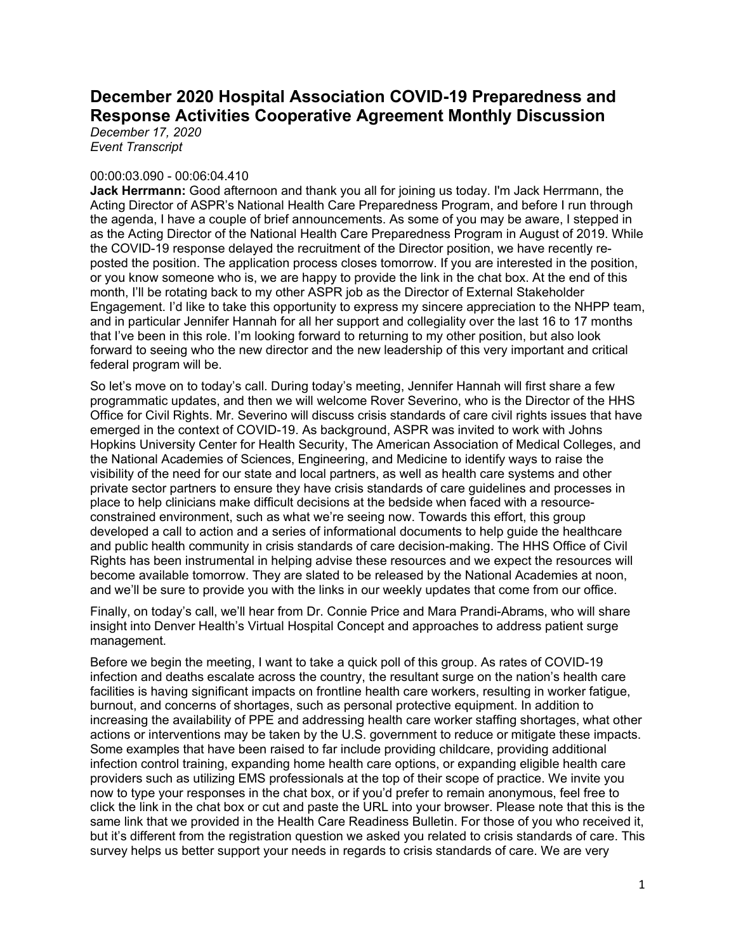# **December 2020 Hospital Association COVID-19 Preparedness and Response Activities Cooperative Agreement Monthly Discussion**

*December 17, 2020 Event Transcript*

# 00:00:03.090 - 00:06:04.410

**Jack Herrmann:** Good afternoon and thank you all for joining us today. I'm Jack Herrmann, the Acting Director of ASPR's National Health Care Preparedness Program, and before I run through the agenda, I have a couple of brief announcements. As some of you may be aware, I stepped in as the Acting Director of the National Health Care Preparedness Program in August of 2019. While the COVID-19 response delayed the recruitment of the Director position, we have recently reposted the position. The application process closes tomorrow. If you are interested in the position, or you know someone who is, we are happy to provide the link in the chat box. At the end of this month, I'll be rotating back to my other ASPR job as the Director of External Stakeholder Engagement. I'd like to take this opportunity to express my sincere appreciation to the NHPP team, and in particular Jennifer Hannah for all her support and collegiality over the last 16 to 17 months that I've been in this role. I'm looking forward to returning to my other position, but also look forward to seeing who the new director and the new leadership of this very important and critical federal program will be.

So let's move on to today's call. During today's meeting, Jennifer Hannah will first share a few programmatic updates, and then we will welcome Rover Severino, who is the Director of the HHS Office for Civil Rights. Mr. Severino will discuss crisis standards of care civil rights issues that have emerged in the context of COVID-19. As background, ASPR was invited to work with Johns Hopkins University Center for Health Security, The American Association of Medical Colleges, and the National Academies of Sciences, Engineering, and Medicine to identify ways to raise the visibility of the need for our state and local partners, as well as health care systems and other private sector partners to ensure they have crisis standards of care guidelines and processes in place to help clinicians make difficult decisions at the bedside when faced with a resourceconstrained environment, such as what we're seeing now. Towards this effort, this group developed a call to action and a series of informational documents to help guide the healthcare and public health community in crisis standards of care decision-making. The HHS Office of Civil Rights has been instrumental in helping advise these resources and we expect the resources will become available tomorrow. They are slated to be released by the National Academies at noon, and we'll be sure to provide you with the links in our weekly updates that come from our office.

Finally, on today's call, we'll hear from Dr. Connie Price and Mara Prandi-Abrams, who will share insight into Denver Health's Virtual Hospital Concept and approaches to address patient surge management.

Before we begin the meeting, I want to take a quick poll of this group. As rates of COVID-19 infection and deaths escalate across the country, the resultant surge on the nation's health care facilities is having significant impacts on frontline health care workers, resulting in worker fatigue, burnout, and concerns of shortages, such as personal protective equipment. In addition to increasing the availability of PPE and addressing health care worker staffing shortages, what other actions or interventions may be taken by the U.S. government to reduce or mitigate these impacts. Some examples that have been raised to far include providing childcare, providing additional infection control training, expanding home health care options, or expanding eligible health care providers such as utilizing EMS professionals at the top of their scope of practice. We invite you now to type your responses in the chat box, or if you'd prefer to remain anonymous, feel free to click the link in the chat box or cut and paste the URL into your browser. Please note that this is the same link that we provided in the Health Care Readiness Bulletin. For those of you who received it, but it's different from the registration question we asked you related to crisis standards of care. This survey helps us better support your needs in regards to crisis standards of care. We are very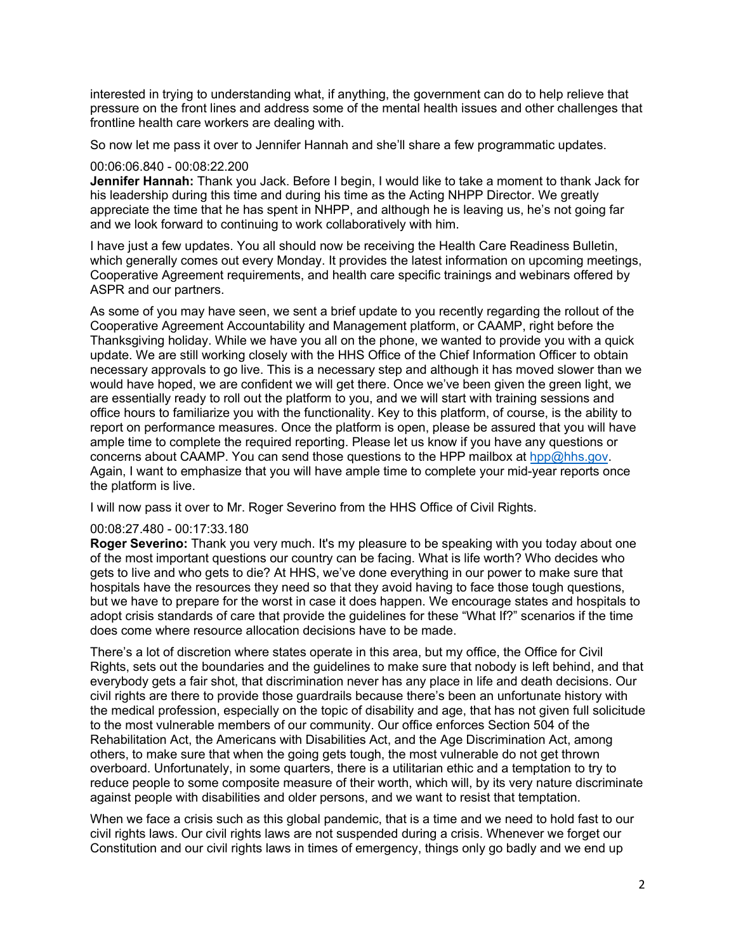interested in trying to understanding what, if anything, the government can do to help relieve that pressure on the front lines and address some of the mental health issues and other challenges that frontline health care workers are dealing with.

So now let me pass it over to Jennifer Hannah and she'll share a few programmatic updates.

#### 00:06:06.840 - 00:08:22.200

**Jennifer Hannah:** Thank you Jack. Before I begin, I would like to take a moment to thank Jack for his leadership during this time and during his time as the Acting NHPP Director. We greatly appreciate the time that he has spent in NHPP, and although he is leaving us, he's not going far and we look forward to continuing to work collaboratively with him.

I have just a few updates. You all should now be receiving the Health Care Readiness Bulletin, which generally comes out every Monday. It provides the latest information on upcoming meetings, Cooperative Agreement requirements, and health care specific trainings and webinars offered by ASPR and our partners.

As some of you may have seen, we sent a brief update to you recently regarding the rollout of the Cooperative Agreement Accountability and Management platform, or CAAMP, right before the Thanksgiving holiday. While we have you all on the phone, we wanted to provide you with a quick update. We are still working closely with the HHS Office of the Chief Information Officer to obtain necessary approvals to go live. This is a necessary step and although it has moved slower than we would have hoped, we are confident we will get there. Once we've been given the green light, we are essentially ready to roll out the platform to you, and we will start with training sessions and office hours to familiarize you with the functionality. Key to this platform, of course, is the ability to report on performance measures. Once the platform is open, please be assured that you will have ample time to complete the required reporting. Please let us know if you have any questions or concerns about CAAMP. You can send those questions to the HPP mailbox at [hpp@hhs.gov.](mailto:hpp@hhs.gov)  Again, I want to emphasize that you will have ample time to complete your mid-year reports once the platform is live.

I will now pass it over to Mr. Roger Severino from the HHS Office of Civil Rights.

# 00:08:27.480 - 00:17:33.180

**Roger Severino:** Thank you very much. It's my pleasure to be speaking with you today about one of the most important questions our country can be facing. What is life worth? Who decides who gets to live and who gets to die? At HHS, we've done everything in our power to make sure that hospitals have the resources they need so that they avoid having to face those tough questions, but we have to prepare for the worst in case it does happen. We encourage states and hospitals to adopt crisis standards of care that provide the guidelines for these "What If?" scenarios if the time does come where resource allocation decisions have to be made.

There's a lot of discretion where states operate in this area, but my office, the Office for Civil Rights, sets out the boundaries and the guidelines to make sure that nobody is left behind, and that everybody gets a fair shot, that discrimination never has any place in life and death decisions. Our civil rights are there to provide those guardrails because there's been an unfortunate history with the medical profession, especially on the topic of disability and age, that has not given full solicitude to the most vulnerable members of our community. Our office enforces Section 504 of the Rehabilitation Act, the Americans with Disabilities Act, and the Age Discrimination Act, among others, to make sure that when the going gets tough, the most vulnerable do not get thrown overboard. Unfortunately, in some quarters, there is a utilitarian ethic and a temptation to try to reduce people to some composite measure of their worth, which will, by its very nature discriminate against people with disabilities and older persons, and we want to resist that temptation.

When we face a crisis such as this global pandemic, that is a time and we need to hold fast to our civil rights laws. Our civil rights laws are not suspended during a crisis. Whenever we forget our Constitution and our civil rights laws in times of emergency, things only go badly and we end up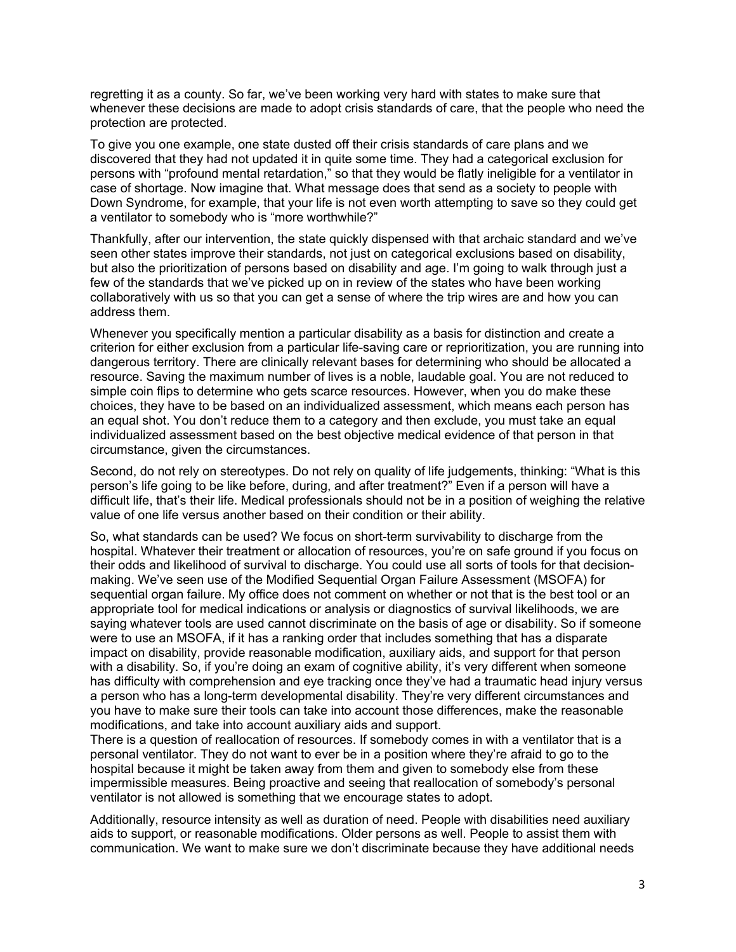regretting it as a county. So far, we've been working very hard with states to make sure that whenever these decisions are made to adopt crisis standards of care, that the people who need the protection are protected.

To give you one example, one state dusted off their crisis standards of care plans and we discovered that they had not updated it in quite some time. They had a categorical exclusion for persons with "profound mental retardation," so that they would be flatly ineligible for a ventilator in case of shortage. Now imagine that. What message does that send as a society to people with Down Syndrome, for example, that your life is not even worth attempting to save so they could get a ventilator to somebody who is "more worthwhile?"

Thankfully, after our intervention, the state quickly dispensed with that archaic standard and we've seen other states improve their standards, not just on categorical exclusions based on disability, but also the prioritization of persons based on disability and age. I'm going to walk through just a few of the standards that we've picked up on in review of the states who have been working collaboratively with us so that you can get a sense of where the trip wires are and how you can address them.

Whenever you specifically mention a particular disability as a basis for distinction and create a criterion for either exclusion from a particular life-saving care or reprioritization, you are running into dangerous territory. There are clinically relevant bases for determining who should be allocated a resource. Saving the maximum number of lives is a noble, laudable goal. You are not reduced to simple coin flips to determine who gets scarce resources. However, when you do make these choices, they have to be based on an individualized assessment, which means each person has an equal shot. You don't reduce them to a category and then exclude, you must take an equal individualized assessment based on the best objective medical evidence of that person in that circumstance, given the circumstances.

Second, do not rely on stereotypes. Do not rely on quality of life judgements, thinking: "What is this person's life going to be like before, during, and after treatment?" Even if a person will have a difficult life, that's their life. Medical professionals should not be in a position of weighing the relative value of one life versus another based on their condition or their ability.

So, what standards can be used? We focus on short-term survivability to discharge from the hospital. Whatever their treatment or allocation of resources, you're on safe ground if you focus on their odds and likelihood of survival to discharge. You could use all sorts of tools for that decisionmaking. We've seen use of the Modified Sequential Organ Failure Assessment (MSOFA) for sequential organ failure. My office does not comment on whether or not that is the best tool or an appropriate tool for medical indications or analysis or diagnostics of survival likelihoods, we are saying whatever tools are used cannot discriminate on the basis of age or disability. So if someone were to use an MSOFA, if it has a ranking order that includes something that has a disparate impact on disability, provide reasonable modification, auxiliary aids, and support for that person with a disability. So, if you're doing an exam of cognitive ability, it's very different when someone has difficulty with comprehension and eye tracking once they've had a traumatic head injury versus a person who has a long-term developmental disability. They're very different circumstances and you have to make sure their tools can take into account those differences, make the reasonable modifications, and take into account auxiliary aids and support.

There is a question of reallocation of resources. If somebody comes in with a ventilator that is a personal ventilator. They do not want to ever be in a position where they're afraid to go to the hospital because it might be taken away from them and given to somebody else from these impermissible measures. Being proactive and seeing that reallocation of somebody's personal ventilator is not allowed is something that we encourage states to adopt.

Additionally, resource intensity as well as duration of need. People with disabilities need auxiliary aids to support, or reasonable modifications. Older persons as well. People to assist them with communication. We want to make sure we don't discriminate because they have additional needs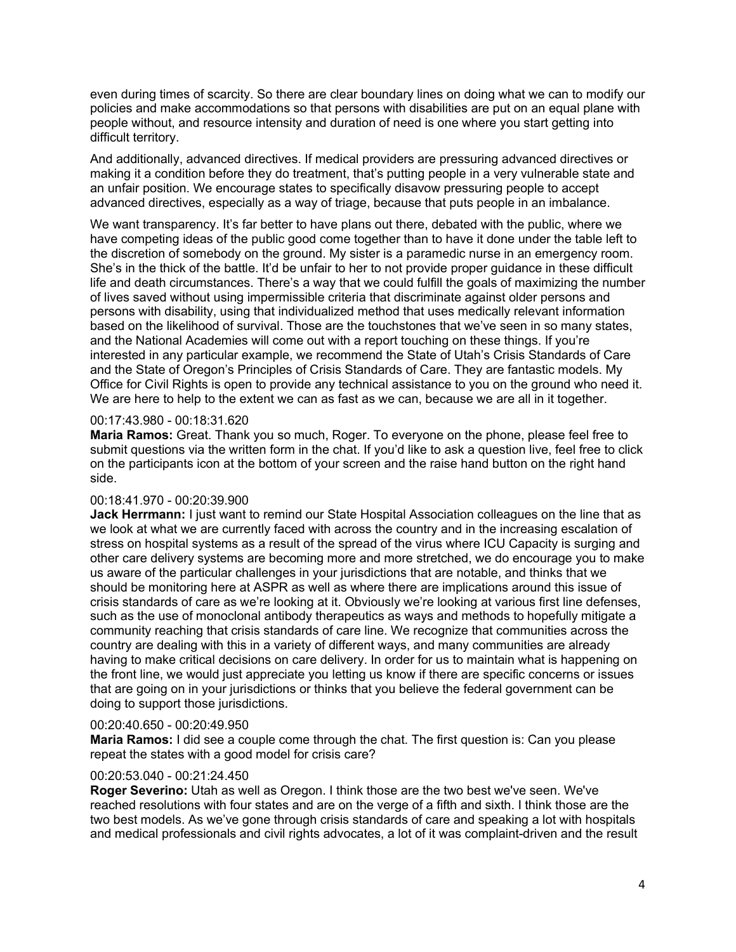even during times of scarcity. So there are clear boundary lines on doing what we can to modify our policies and make accommodations so that persons with disabilities are put on an equal plane with people without, and resource intensity and duration of need is one where you start getting into difficult territory.

And additionally, advanced directives. If medical providers are pressuring advanced directives or making it a condition before they do treatment, that's putting people in a very vulnerable state and an unfair position. We encourage states to specifically disavow pressuring people to accept advanced directives, especially as a way of triage, because that puts people in an imbalance.

We want transparency. It's far better to have plans out there, debated with the public, where we have competing ideas of the public good come together than to have it done under the table left to the discretion of somebody on the ground. My sister is a paramedic nurse in an emergency room. She's in the thick of the battle. It'd be unfair to her to not provide proper guidance in these difficult life and death circumstances. There's a way that we could fulfill the goals of maximizing the number of lives saved without using impermissible criteria that discriminate against older persons and persons with disability, using that individualized method that uses medically relevant information based on the likelihood of survival. Those are the touchstones that we've seen in so many states, and the National Academies will come out with a report touching on these things. If you're interested in any particular example, we recommend the State of Utah's Crisis Standards of Care and the State of Oregon's Principles of Crisis Standards of Care. They are fantastic models. My Office for Civil Rights is open to provide any technical assistance to you on the ground who need it. We are here to help to the extent we can as fast as we can, because we are all in it together.

#### 00:17:43.980 - 00:18:31.620

**Maria Ramos:** Great. Thank you so much, Roger. To everyone on the phone, please feel free to submit questions via the written form in the chat. If you'd like to ask a question live, feel free to click on the participants icon at the bottom of your screen and the raise hand button on the right hand side.

#### 00:18:41.970 - 00:20:39.900

**Jack Herrmann:** I just want to remind our State Hospital Association colleagues on the line that as we look at what we are currently faced with across the country and in the increasing escalation of stress on hospital systems as a result of the spread of the virus where ICU Capacity is surging and other care delivery systems are becoming more and more stretched, we do encourage you to make us aware of the particular challenges in your jurisdictions that are notable, and thinks that we should be monitoring here at ASPR as well as where there are implications around this issue of crisis standards of care as we're looking at it. Obviously we're looking at various first line defenses, such as the use of monoclonal antibody therapeutics as ways and methods to hopefully mitigate a community reaching that crisis standards of care line. We recognize that communities across the country are dealing with this in a variety of different ways, and many communities are already having to make critical decisions on care delivery. In order for us to maintain what is happening on the front line, we would just appreciate you letting us know if there are specific concerns or issues that are going on in your jurisdictions or thinks that you believe the federal government can be doing to support those jurisdictions.

# 00:20:40.650 - 00:20:49.950

**Maria Ramos:** I did see a couple come through the chat. The first question is: Can you please repeat the states with a good model for crisis care?

# 00:20:53.040 - 00:21:24.450

**Roger Severino:** Utah as well as Oregon. I think those are the two best we've seen. We've reached resolutions with four states and are on the verge of a fifth and sixth. I think those are the two best models. As we've gone through crisis standards of care and speaking a lot with hospitals and medical professionals and civil rights advocates, a lot of it was complaint-driven and the result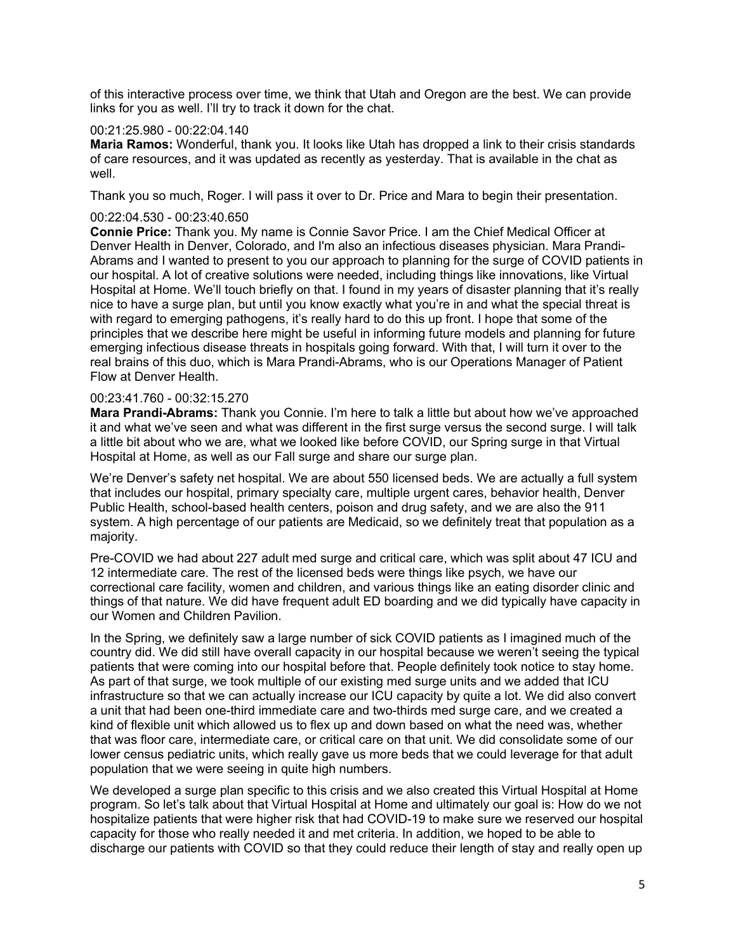of this interactive process over time, we think that Utah and Oregon are the best. We can provide links for you as well. I'll try to track it down for the chat.

#### 00:21:25.980 - 00:22:04.140

**Maria Ramos:** Wonderful, thank you. It looks like Utah has dropped a link to their crisis standards of care resources, and it was updated as recently as yesterday. That is available in the chat as well.

Thank you so much, Roger. I will pass it over to Dr. Price and Mara to begin their presentation.

# 00:22:04.530 - 00:23:40.650

**Connie Price:** Thank you. My name is Connie Savor Price. I am the Chief Medical Officer at Denver Health in Denver, Colorado, and I'm also an infectious diseases physician. Mara Prandi-Abrams and I wanted to present to you our approach to planning for the surge of COVID patients in our hospital. A lot of creative solutions were needed, including things like innovations, like Virtual Hospital at Home. We'll touch briefly on that. I found in my years of disaster planning that it's really nice to have a surge plan, but until you know exactly what you're in and what the special threat is with regard to emerging pathogens, it's really hard to do this up front. I hope that some of the principles that we describe here might be useful in informing future models and planning for future emerging infectious disease threats in hospitals going forward. With that, I will turn it over to the real brains of this duo, which is Mara Prandi-Abrams, who is our Operations Manager of Patient Flow at Denver Health.

#### 00:23:41.760 - 00:32:15.270

**Mara Prandi-Abrams:** Thank you Connie. I'm here to talk a little but about how we've approached it and what we've seen and what was different in the first surge versus the second surge. I will talk a little bit about who we are, what we looked like before COVID, our Spring surge in that Virtual Hospital at Home, as well as our Fall surge and share our surge plan.

We're Denver's safety net hospital. We are about 550 licensed beds. We are actually a full system that includes our hospital, primary specialty care, multiple urgent cares, behavior health, Denver Public Health, school-based health centers, poison and drug safety, and we are also the 911 system. A high percentage of our patients are Medicaid, so we definitely treat that population as a majority.

Pre-COVID we had about 227 adult med surge and critical care, which was split about 47 ICU and 12 intermediate care. The rest of the licensed beds were things like psych, we have our correctional care facility, women and children, and various things like an eating disorder clinic and things of that nature. We did have frequent adult ED boarding and we did typically have capacity in our Women and Children Pavilion.

In the Spring, we definitely saw a large number of sick COVID patients as I imagined much of the country did. We did still have overall capacity in our hospital because we weren't seeing the typical patients that were coming into our hospital before that. People definitely took notice to stay home. As part of that surge, we took multiple of our existing med surge units and we added that ICU infrastructure so that we can actually increase our ICU capacity by quite a lot. We did also convert a unit that had been one-third immediate care and two-thirds med surge care, and we created a kind of flexible unit which allowed us to flex up and down based on what the need was, whether that was floor care, intermediate care, or critical care on that unit. We did consolidate some of our lower census pediatric units, which really gave us more beds that we could leverage for that adult population that we were seeing in quite high numbers.

We developed a surge plan specific to this crisis and we also created this Virtual Hospital at Home program. So let's talk about that Virtual Hospital at Home and ultimately our goal is: How do we not hospitalize patients that were higher risk that had COVID-19 to make sure we reserved our hospital capacity for those who really needed it and met criteria. In addition, we hoped to be able to discharge our patients with COVID so that they could reduce their length of stay and really open up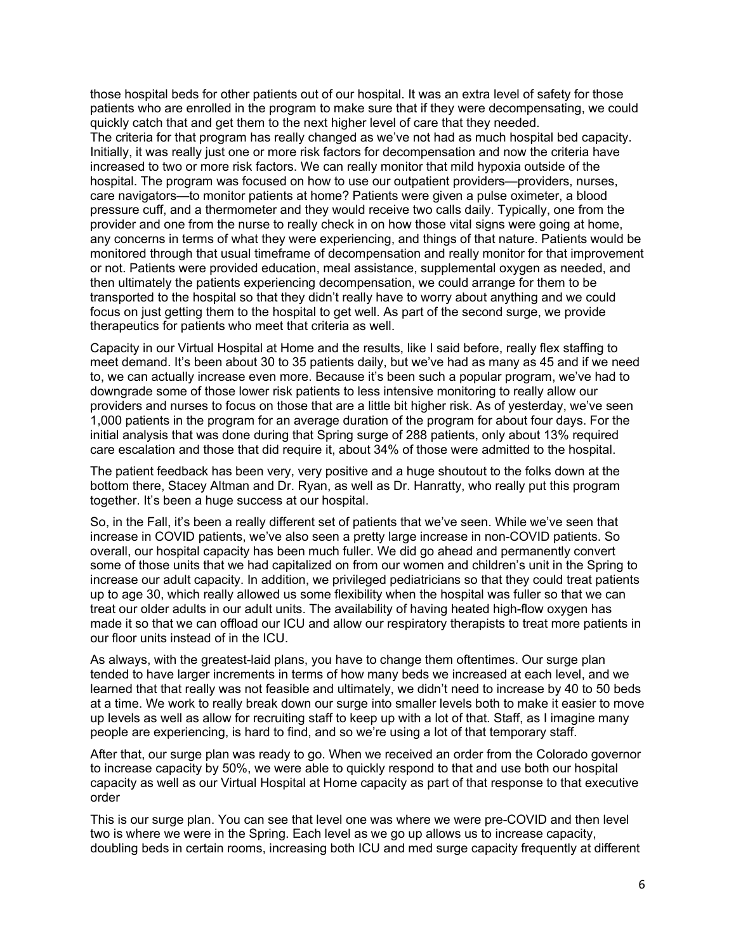those hospital beds for other patients out of our hospital. It was an extra level of safety for those patients who are enrolled in the program to make sure that if they were decompensating, we could quickly catch that and get them to the next higher level of care that they needed.

The criteria for that program has really changed as we've not had as much hospital bed capacity. Initially, it was really just one or more risk factors for decompensation and now the criteria have increased to two or more risk factors. We can really monitor that mild hypoxia outside of the hospital. The program was focused on how to use our outpatient providers—providers, nurses, care navigators—to monitor patients at home? Patients were given a pulse oximeter, a blood pressure cuff, and a thermometer and they would receive two calls daily. Typically, one from the provider and one from the nurse to really check in on how those vital signs were going at home, any concerns in terms of what they were experiencing, and things of that nature. Patients would be monitored through that usual timeframe of decompensation and really monitor for that improvement or not. Patients were provided education, meal assistance, supplemental oxygen as needed, and then ultimately the patients experiencing decompensation, we could arrange for them to be transported to the hospital so that they didn't really have to worry about anything and we could focus on just getting them to the hospital to get well. As part of the second surge, we provide therapeutics for patients who meet that criteria as well.

Capacity in our Virtual Hospital at Home and the results, like I said before, really flex staffing to meet demand. It's been about 30 to 35 patients daily, but we've had as many as 45 and if we need to, we can actually increase even more. Because it's been such a popular program, we've had to downgrade some of those lower risk patients to less intensive monitoring to really allow our providers and nurses to focus on those that are a little bit higher risk. As of yesterday, we've seen 1,000 patients in the program for an average duration of the program for about four days. For the initial analysis that was done during that Spring surge of 288 patients, only about 13% required care escalation and those that did require it, about 34% of those were admitted to the hospital.

The patient feedback has been very, very positive and a huge shoutout to the folks down at the bottom there, Stacey Altman and Dr. Ryan, as well as Dr. Hanratty, who really put this program together. It's been a huge success at our hospital.

So, in the Fall, it's been a really different set of patients that we've seen. While we've seen that increase in COVID patients, we've also seen a pretty large increase in non-COVID patients. So overall, our hospital capacity has been much fuller. We did go ahead and permanently convert some of those units that we had capitalized on from our women and children's unit in the Spring to increase our adult capacity. In addition, we privileged pediatricians so that they could treat patients up to age 30, which really allowed us some flexibility when the hospital was fuller so that we can treat our older adults in our adult units. The availability of having heated high-flow oxygen has made it so that we can offload our ICU and allow our respiratory therapists to treat more patients in our floor units instead of in the ICU.

As always, with the greatest-laid plans, you have to change them oftentimes. Our surge plan tended to have larger increments in terms of how many beds we increased at each level, and we learned that that really was not feasible and ultimately, we didn't need to increase by 40 to 50 beds at a time. We work to really break down our surge into smaller levels both to make it easier to move up levels as well as allow for recruiting staff to keep up with a lot of that. Staff, as I imagine many people are experiencing, is hard to find, and so we're using a lot of that temporary staff.

After that, our surge plan was ready to go. When we received an order from the Colorado governor to increase capacity by 50%, we were able to quickly respond to that and use both our hospital capacity as well as our Virtual Hospital at Home capacity as part of that response to that executive order

This is our surge plan. You can see that level one was where we were pre-COVID and then level two is where we were in the Spring. Each level as we go up allows us to increase capacity, doubling beds in certain rooms, increasing both ICU and med surge capacity frequently at different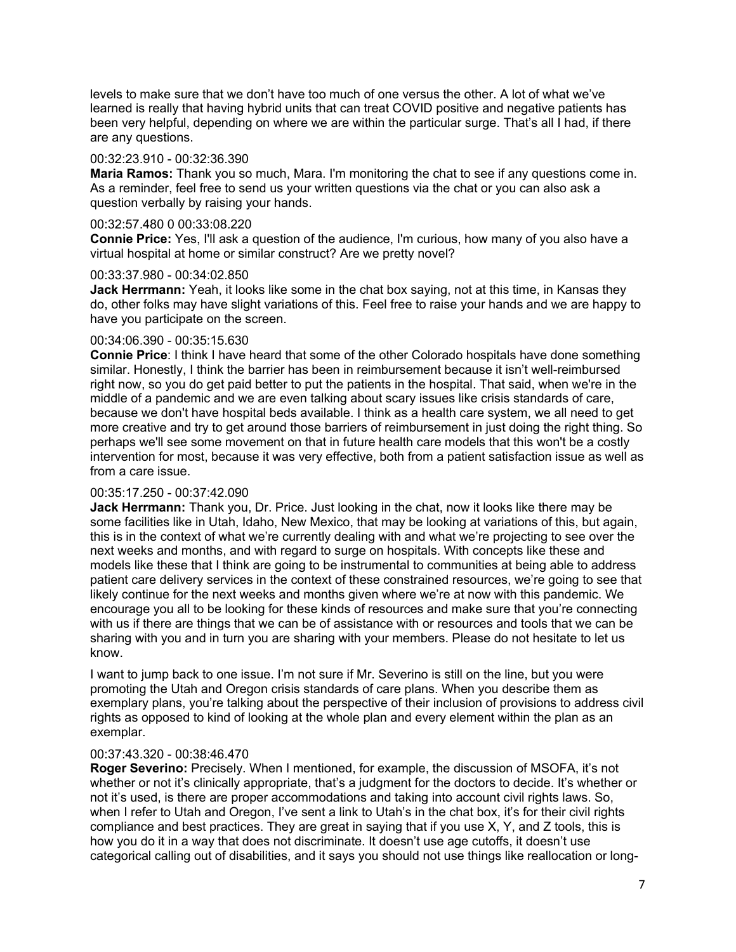levels to make sure that we don't have too much of one versus the other. A lot of what we've learned is really that having hybrid units that can treat COVID positive and negative patients has been very helpful, depending on where we are within the particular surge. That's all I had, if there are any questions.

#### 00:32:23.910 - 00:32:36.390

**Maria Ramos:** Thank you so much, Mara. I'm monitoring the chat to see if any questions come in. As a reminder, feel free to send us your written questions via the chat or you can also ask a question verbally by raising your hands.

# 00:32:57.480 0 00:33:08.220

**Connie Price:** Yes, I'll ask a question of the audience, I'm curious, how many of you also have a virtual hospital at home or similar construct? Are we pretty novel?

#### 00:33:37.980 - 00:34:02.850

**Jack Herrmann:** Yeah, it looks like some in the chat box saying, not at this time, in Kansas they do, other folks may have slight variations of this. Feel free to raise your hands and we are happy to have you participate on the screen.

#### 00:34:06.390 - 00:35:15.630

**Connie Price**: I think I have heard that some of the other Colorado hospitals have done something similar. Honestly, I think the barrier has been in reimbursement because it isn't well-reimbursed right now, so you do get paid better to put the patients in the hospital. That said, when we're in the middle of a pandemic and we are even talking about scary issues like crisis standards of care, because we don't have hospital beds available. I think as a health care system, we all need to get more creative and try to get around those barriers of reimbursement in just doing the right thing. So perhaps we'll see some movement on that in future health care models that this won't be a costly intervention for most, because it was very effective, both from a patient satisfaction issue as well as from a care issue.

# 00:35:17.250 - 00:37:42.090

**Jack Herrmann:** Thank you, Dr. Price. Just looking in the chat, now it looks like there may be some facilities like in Utah, Idaho, New Mexico, that may be looking at variations of this, but again, this is in the context of what we're currently dealing with and what we're projecting to see over the next weeks and months, and with regard to surge on hospitals. With concepts like these and models like these that I think are going to be instrumental to communities at being able to address patient care delivery services in the context of these constrained resources, we're going to see that likely continue for the next weeks and months given where we're at now with this pandemic. We encourage you all to be looking for these kinds of resources and make sure that you're connecting with us if there are things that we can be of assistance with or resources and tools that we can be sharing with you and in turn you are sharing with your members. Please do not hesitate to let us know.

I want to jump back to one issue. I'm not sure if Mr. Severino is still on the line, but you were promoting the Utah and Oregon crisis standards of care plans. When you describe them as exemplary plans, you're talking about the perspective of their inclusion of provisions to address civil rights as opposed to kind of looking at the whole plan and every element within the plan as an exemplar.

# 00:37:43.320 - 00:38:46.470

**Roger Severino:** Precisely. When I mentioned, for example, the discussion of MSOFA, it's not whether or not it's clinically appropriate, that's a judgment for the doctors to decide. It's whether or not it's used, is there are proper accommodations and taking into account civil rights laws. So, when I refer to Utah and Oregon, I've sent a link to Utah's in the chat box, it's for their civil rights compliance and best practices. They are great in saying that if you use X, Y, and Z tools, this is how you do it in a way that does not discriminate. It doesn't use age cutoffs, it doesn't use categorical calling out of disabilities, and it says you should not use things like reallocation or long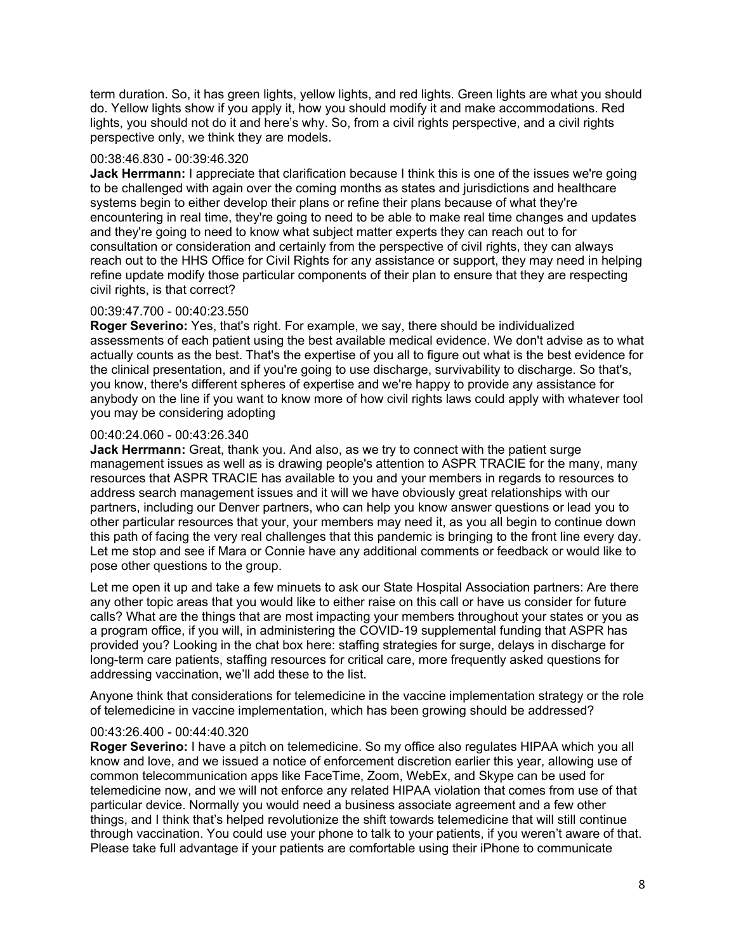term duration. So, it has green lights, yellow lights, and red lights. Green lights are what you should do. Yellow lights show if you apply it, how you should modify it and make accommodations. Red lights, you should not do it and here's why. So, from a civil rights perspective, and a civil rights perspective only, we think they are models.

#### 00:38:46.830 - 00:39:46.320

**Jack Herrmann:** I appreciate that clarification because I think this is one of the issues we're going to be challenged with again over the coming months as states and jurisdictions and healthcare systems begin to either develop their plans or refine their plans because of what they're encountering in real time, they're going to need to be able to make real time changes and updates and they're going to need to know what subject matter experts they can reach out to for consultation or consideration and certainly from the perspective of civil rights, they can always reach out to the HHS Office for Civil Rights for any assistance or support, they may need in helping refine update modify those particular components of their plan to ensure that they are respecting civil rights, is that correct?

# 00:39:47.700 - 00:40:23.550

**Roger Severino:** Yes, that's right. For example, we say, there should be individualized assessments of each patient using the best available medical evidence. We don't advise as to what actually counts as the best. That's the expertise of you all to figure out what is the best evidence for the clinical presentation, and if you're going to use discharge, survivability to discharge. So that's, you know, there's different spheres of expertise and we're happy to provide any assistance for anybody on the line if you want to know more of how civil rights laws could apply with whatever tool you may be considering adopting

# 00:40:24.060 - 00:43:26.340

**Jack Herrmann:** Great, thank you. And also, as we try to connect with the patient surge management issues as well as is drawing people's attention to ASPR TRACIE for the many, many resources that ASPR TRACIE has available to you and your members in regards to resources to address search management issues and it will we have obviously great relationships with our partners, including our Denver partners, who can help you know answer questions or lead you to other particular resources that your, your members may need it, as you all begin to continue down this path of facing the very real challenges that this pandemic is bringing to the front line every day. Let me stop and see if Mara or Connie have any additional comments or feedback or would like to pose other questions to the group.

Let me open it up and take a few minuets to ask our State Hospital Association partners: Are there any other topic areas that you would like to either raise on this call or have us consider for future calls? What are the things that are most impacting your members throughout your states or you as a program office, if you will, in administering the COVID-19 supplemental funding that ASPR has provided you? Looking in the chat box here: staffing strategies for surge, delays in discharge for long-term care patients, staffing resources for critical care, more frequently asked questions for addressing vaccination, we'll add these to the list.

Anyone think that considerations for telemedicine in the vaccine implementation strategy or the role of telemedicine in vaccine implementation, which has been growing should be addressed?

# 00:43:26.400 - 00:44:40.320

**Roger Severino:** I have a pitch on telemedicine. So my office also regulates HIPAA which you all know and love, and we issued a notice of enforcement discretion earlier this year, allowing use of common telecommunication apps like FaceTime, Zoom, WebEx, and Skype can be used for telemedicine now, and we will not enforce any related HIPAA violation that comes from use of that particular device. Normally you would need a business associate agreement and a few other things, and I think that's helped revolutionize the shift towards telemedicine that will still continue through vaccination. You could use your phone to talk to your patients, if you weren't aware of that. Please take full advantage if your patients are comfortable using their iPhone to communicate